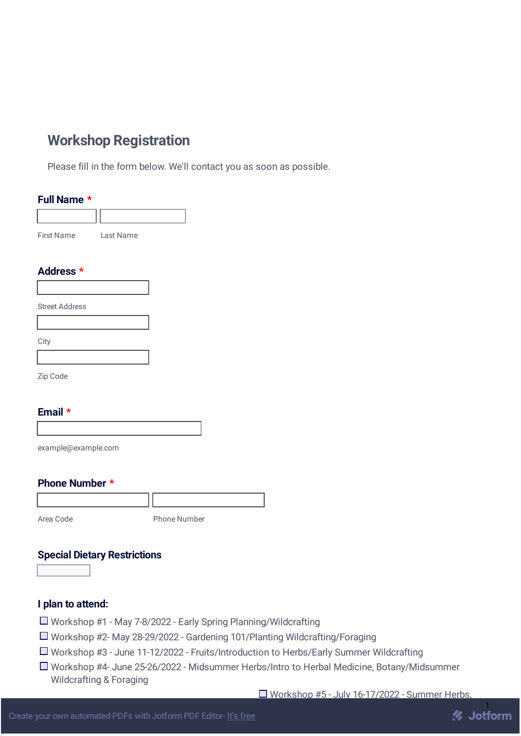# **Workshop Registration**

Please fill in the form below. We'll contact you as soon as possible.

| Full Name *       |           |
|-------------------|-----------|
|                   |           |
| <b>First Name</b> | Last Name |

# **Address \***

| <b>Street Address</b> |  |
|-----------------------|--|

**City** 

Zip Code

## **Email \***

example@example.com

## **Phone Number \***

Area Code Phone Number

# **Special Dietary Restrictions**

### **I plan to attend:**

- □ Workshop #1 May 7-8/2022 Early Spring Planning/Wildcrafting
- Workshop #2- May 28-29/2022 Gardening 101/Planting Wildcrafting/Foraging
- Workshop #3 June 11-12/2022 Fruits/Introduction to Herbs/Early Summer Wildcrafting
- Workshop #4- June 25-26/2022 Midsummer Herbs/Intro to Herbal Medicine, Botany/Midsummer Wildcrafting & Foraging

 $\Box$  Workshop #5 - July 16-17/2022 - Summer Herbs